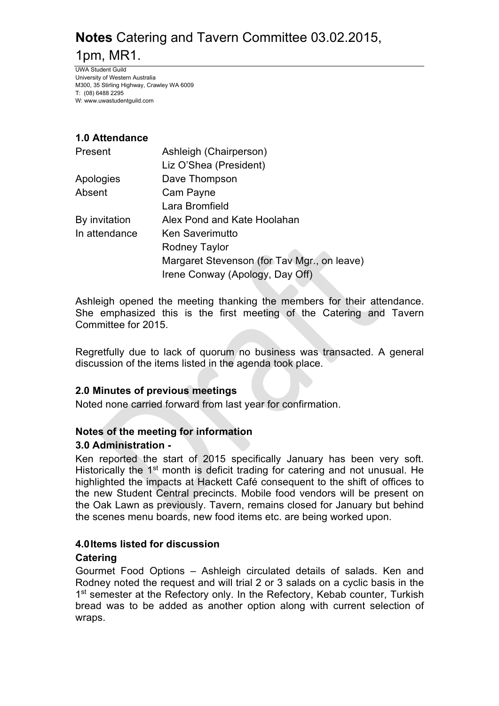UWA Student Guild University of Western Australia M300, 35 Stirling Highway, Crawley WA 6009 T: (08) 6488 2295 W: www.uwastudentguild.com

## **1.0 Attendance**

| Present       | Ashleigh (Chairperson)                      |
|---------------|---------------------------------------------|
|               | Liz O'Shea (President)                      |
| Apologies     | Dave Thompson                               |
| Absent        | Cam Payne                                   |
|               | Lara Bromfield                              |
| By invitation | Alex Pond and Kate Hoolahan                 |
| In attendance | <b>Ken Saverimutto</b>                      |
|               | <b>Rodney Taylor</b>                        |
|               | Margaret Stevenson (for Tay Mgr., on leave) |
|               | Irene Conway (Apology, Day Off)             |

Ashleigh opened the meeting thanking the members for their attendance. She emphasized this is the first meeting of the Catering and Tavern Committee for 2015.

Regretfully due to lack of quorum no business was transacted. A general discussion of the items listed in the agenda took place.

## **2.0 Minutes of previous meetings**

Noted none carried forward from last year for confirmation.

### **Notes of the meeting for information**

### **3.0 Administration -**

Ken reported the start of 2015 specifically January has been very soft. Historically the 1<sup>st</sup> month is deficit trading for catering and not unusual. He highlighted the impacts at Hackett Café consequent to the shift of offices to the new Student Central precincts. Mobile food vendors will be present on the Oak Lawn as previously. Tavern, remains closed for January but behind the scenes menu boards, new food items etc. are being worked upon.

### **4.0 Items listed for discussion**

### **Catering**

Gourmet Food Options – Ashleigh circulated details of salads. Ken and Rodney noted the request and will trial 2 or 3 salads on a cyclic basis in the 1<sup>st</sup> semester at the Refectory only. In the Refectory, Kebab counter, Turkish bread was to be added as another option along with current selection of wraps.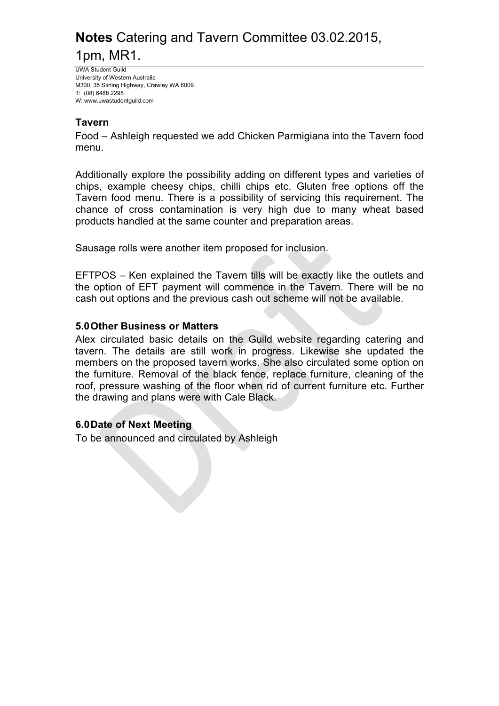UWA Student Guild University of Western Australia M300, 35 Stirling Highway, Crawley WA 6009 T: (08) 6488 2295 W: www.uwastudentguild.com

#### **Tavern**

Food – Ashleigh requested we add Chicken Parmigiana into the Tavern food menu.

Additionally explore the possibility adding on different types and varieties of chips, example cheesy chips, chilli chips etc. Gluten free options off the Tavern food menu. There is a possibility of servicing this requirement. The chance of cross contamination is very high due to many wheat based products handled at the same counter and preparation areas.

Sausage rolls were another item proposed for inclusion.

EFTPOS – Ken explained the Tavern tills will be exactly like the outlets and the option of EFT payment will commence in the Tavern. There will be no cash out options and the previous cash out scheme will not be available.

#### **5.0 Other Business or Matters**

Alex circulated basic details on the Guild website regarding catering and tavern. The details are still work in progress. Likewise she updated the members on the proposed tavern works. She also circulated some option on the furniture. Removal of the black fence, replace furniture, cleaning of the roof, pressure washing of the floor when rid of current furniture etc. Further the drawing and plans were with Cale Black.

### **6.0 Date of Next Meeting**

To be announced and circulated by Ashleigh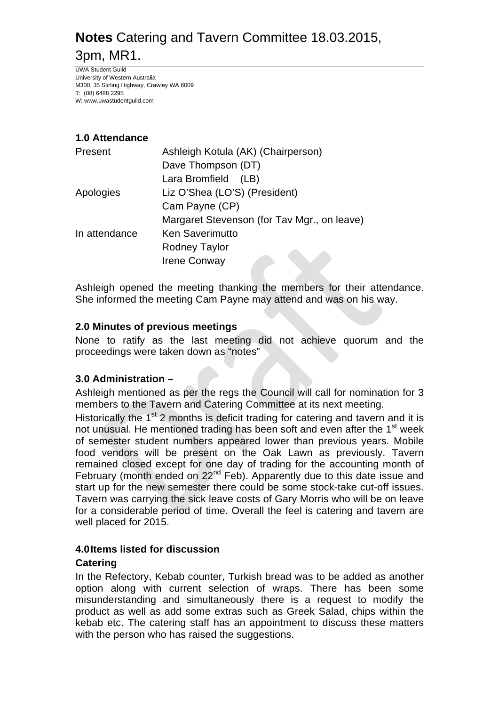UWA Student Guild University of Western Australia M300, 35 Stirling Highway, Crawley WA 6009 T: (08) 6488 2295 W: www.uwastudentguild.com

## **1.0 Attendance**

| Present       | Ashleigh Kotula (AK) (Chairperson)          |
|---------------|---------------------------------------------|
|               | Dave Thompson (DT)                          |
|               | Lara Bromfield<br>(LB)                      |
| Apologies     | Liz O'Shea (LO'S) (President)               |
|               | Cam Payne (CP)                              |
|               | Margaret Stevenson (for Tav Mgr., on leave) |
| In attendance | <b>Ken Saverimutto</b>                      |
|               | <b>Rodney Taylor</b>                        |
|               | <b>Irene Conway</b>                         |
|               |                                             |

Ashleigh opened the meeting thanking the members for their attendance. She informed the meeting Cam Payne may attend and was on his way.

### **2.0 Minutes of previous meetings**

None to ratify as the last meeting did not achieve quorum and the proceedings were taken down as "notes"

## **3.0 Administration –**

Ashleigh mentioned as per the regs the Council will call for nomination for 3 members to the Tavern and Catering Committee at its next meeting.

Historically the  $1<sup>st</sup>$  2 months is deficit trading for catering and tavern and it is not unusual. He mentioned trading has been soft and even after the 1<sup>st</sup> week of semester student numbers appeared lower than previous years. Mobile food vendors will be present on the Oak Lawn as previously. Tavern remained closed except for one day of trading for the accounting month of February (month ended on 22<sup>nd</sup> Feb). Apparently due to this date issue and start up for the new semester there could be some stock-take cut-off issues. Tavern was carrying the sick leave costs of Gary Morris who will be on leave for a considerable period of time. Overall the feel is catering and tavern are well placed for 2015.

### **4.0 Items listed for discussion**

### **Catering**

In the Refectory, Kebab counter, Turkish bread was to be added as another option along with current selection of wraps. There has been some misunderstanding and simultaneously there is a request to modify the product as well as add some extras such as Greek Salad, chips within the kebab etc. The catering staff has an appointment to discuss these matters with the person who has raised the suggestions.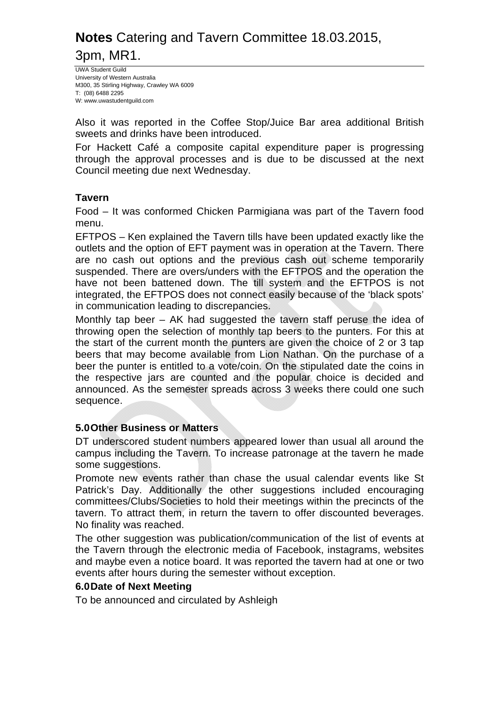UWA Student Guild University of Western Australia M300, 35 Stirling Highway, Crawley WA 6009 T: (08) 6488 2295 W: www.uwastudentguild.com

Also it was reported in the Coffee Stop/Juice Bar area additional British sweets and drinks have been introduced.

For Hackett Café a composite capital expenditure paper is progressing through the approval processes and is due to be discussed at the next Council meeting due next Wednesday.

#### **Tavern**

Food – It was conformed Chicken Parmigiana was part of the Tavern food menu.

EFTPOS – Ken explained the Tavern tills have been updated exactly like the outlets and the option of EFT payment was in operation at the Tavern. There are no cash out options and the previous cash out scheme temporarily suspended. There are overs/unders with the EFTPOS and the operation the have not been battened down. The till system and the EFTPOS is not integrated, the EFTPOS does not connect easily because of the 'black spots' in communication leading to discrepancies.

Monthly tap beer – AK had suggested the tavern staff peruse the idea of throwing open the selection of monthly tap beers to the punters. For this at the start of the current month the punters are given the choice of 2 or 3 tap beers that may become available from Lion Nathan. On the purchase of a beer the punter is entitled to a vote/coin. On the stipulated date the coins in the respective jars are counted and the popular choice is decided and announced. As the semester spreads across 3 weeks there could one such sequence.

### **5.0 Other Business or Matters**

DT underscored student numbers appeared lower than usual all around the campus including the Tavern. To increase patronage at the tavern he made some suggestions.

Promote new events rather than chase the usual calendar events like St Patrick's Day. Additionally the other suggestions included encouraging committees/Clubs/Societies to hold their meetings within the precincts of the tavern. To attract them, in return the tavern to offer discounted beverages. No finality was reached.

The other suggestion was publication/communication of the list of events at the Tavern through the electronic media of Facebook, instagrams, websites and maybe even a notice board. It was reported the tavern had at one or two events after hours during the semester without exception.

#### **6.0 Date of Next Meeting**

To be announced and circulated by Ashleigh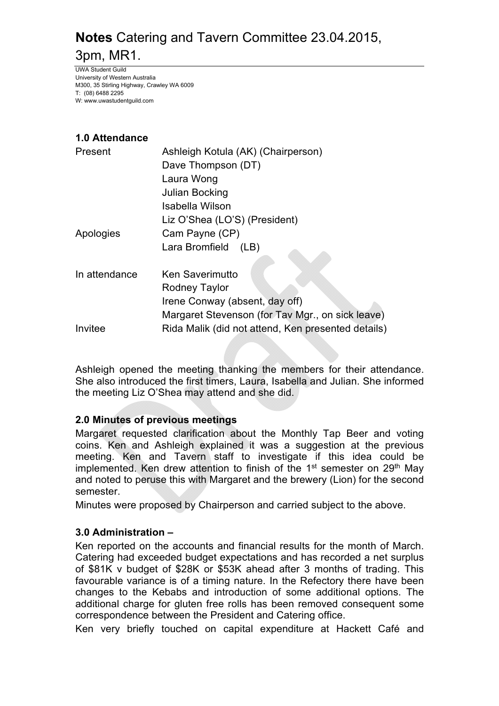UWA Student Guild University of Western Australia M300, 35 Stirling Highway, Crawley WA 6009 T: (08) 6488 2295 W: www.uwastudentguild.com

## **1.0 Attendance**

| Present       | Ashleigh Kotula (AK) (Chairperson)                 |
|---------------|----------------------------------------------------|
|               | Dave Thompson (DT)                                 |
|               | Laura Wong                                         |
|               | Julian Bocking                                     |
|               | Isabella Wilson                                    |
|               | Liz O'Shea (LO'S) (President)                      |
| Apologies     | Cam Payne (CP)                                     |
|               | Lara Bromfield<br>(LB)                             |
|               |                                                    |
| In attendance | <b>Ken Saverimutto</b>                             |
|               | Rodney Taylor                                      |
|               | Irene Conway (absent, day off)                     |
|               | Margaret Stevenson (for Tav Mgr., on sick leave)   |
| Invitee       | Rida Malik (did not attend, Ken presented details) |

Ashleigh opened the meeting thanking the members for their attendance. She also introduced the first timers, Laura, Isabella and Julian. She informed the meeting Liz O'Shea may attend and she did.

## **2.0 Minutes of previous meetings**

Margaret requested clarification about the Monthly Tap Beer and voting coins. Ken and Ashleigh explained it was a suggestion at the previous meeting. Ken and Tavern staff to investigate if this idea could be implemented. Ken drew attention to finish of the 1<sup>st</sup> semester on 29<sup>th</sup> May and noted to peruse this with Margaret and the brewery (Lion) for the second semester.

Minutes were proposed by Chairperson and carried subject to the above.

## **3.0 Administration –**

Ken reported on the accounts and financial results for the month of March. Catering had exceeded budget expectations and has recorded a net surplus of \$81K v budget of \$28K or \$53K ahead after 3 months of trading. This favourable variance is of a timing nature. In the Refectory there have been changes to the Kebabs and introduction of some additional options. The additional charge for gluten free rolls has been removed consequent some correspondence between the President and Catering office.

Ken very briefly touched on capital expenditure at Hackett Café and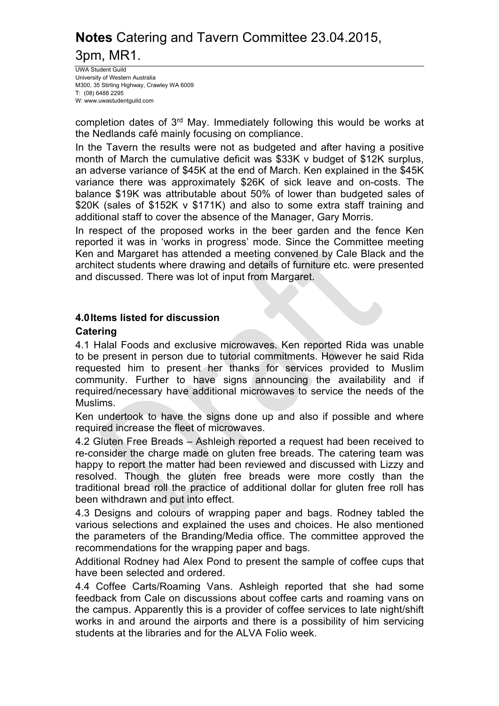UWA Student Guild University of Western Australia M300, 35 Stirling Highway, Crawley WA 6009 T: (08) 6488 2295 W: www.uwastudentguild.com

completion dates of 3rd May. Immediately following this would be works at the Nedlands café mainly focusing on compliance.

In the Tavern the results were not as budgeted and after having a positive month of March the cumulative deficit was \$33K v budget of \$12K surplus, an adverse variance of \$45K at the end of March. Ken explained in the \$45K variance there was approximately \$26K of sick leave and on-costs. The balance \$19K was attributable about 50% of lower than budgeted sales of \$20K (sales of \$152K v \$171K) and also to some extra staff training and additional staff to cover the absence of the Manager, Gary Morris.

In respect of the proposed works in the beer garden and the fence Ken reported it was in 'works in progress' mode. Since the Committee meeting Ken and Margaret has attended a meeting convened by Cale Black and the architect students where drawing and details of furniture etc. were presented and discussed. There was lot of input from Margaret.

#### **4.0 Items listed for discussion**

#### **Catering**

4.1 Halal Foods and exclusive microwaves. Ken reported Rida was unable to be present in person due to tutorial commitments. However he said Rida requested him to present her thanks for services provided to Muslim community. Further to have signs announcing the availability and if required/necessary have additional microwaves to service the needs of the Muslims.

Ken undertook to have the signs done up and also if possible and where required increase the fleet of microwaves.

4.2 Gluten Free Breads – Ashleigh reported a request had been received to re-consider the charge made on gluten free breads. The catering team was happy to report the matter had been reviewed and discussed with Lizzy and resolved. Though the gluten free breads were more costly than the traditional bread roll the practice of additional dollar for gluten free roll has been withdrawn and put into effect.

4.3 Designs and colours of wrapping paper and bags. Rodney tabled the various selections and explained the uses and choices. He also mentioned the parameters of the Branding/Media office. The committee approved the recommendations for the wrapping paper and bags.

Additional Rodney had Alex Pond to present the sample of coffee cups that have been selected and ordered.

4.4 Coffee Carts/Roaming Vans. Ashleigh reported that she had some feedback from Cale on discussions about coffee carts and roaming vans on the campus. Apparently this is a provider of coffee services to late night/shift works in and around the airports and there is a possibility of him servicing students at the libraries and for the ALVA Folio week.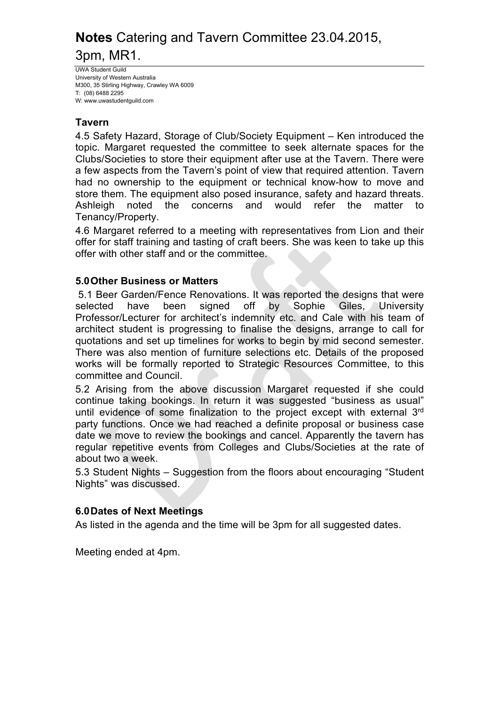UWA Student Guild University of Western Australia M300, 35 Stirling Highway, Crawley WA 6009 T: (08) 6488 2295 W: www.uwastudentguild.com

### **Tavern**

4.5 Safety Hazard, Storage of Club/Society Equipment – Ken introduced the topic. Margaret requested the committee to seek alternate spaces for the Clubs/Societies to store their equipment after use at the Tavern. There were a few aspects from the Tavern's point of view that required attention. Tavern had no ownership to the equipment or technical know-how to move and store them. The equipment also posed insurance, safety and hazard threats. Ashleigh noted the concerns and would refer the matter to Tenancy/Property.

4.6 Margaret referred to a meeting with representatives from Lion and their offer for staff training and tasting of craft beers. She was keen to take up this offer with other staff and or the committee.

### **5.0 Other Business or Matters**

5.1 Beer Garden/Fence Renovations. It was reported the designs that were selected have been signed off by Sophie Giles, University Professor/Lecturer for architect's indemnity etc. and Cale with his team of architect student is progressing to finalise the designs, arrange to call for quotations and set up timelines for works to begin by mid second semester. There was also mention of furniture selections etc. Details of the proposed works will be formally reported to Strategic Resources Committee, to this committee and Council.

5.2 Arising from the above discussion Margaret requested if she could continue taking bookings. In return it was suggested "business as usual" until evidence of some finalization to the project except with external 3<sup>rd</sup> party functions. Once we had reached a definite proposal or business case date we move to review the bookings and cancel. Apparently the tavern has regular repetitive events from Colleges and Clubs/Societies at the rate of about two a week.

5.3 Student Nights – Suggestion from the floors about encouraging "Student Nights" was discussed.

### **6.0 Dates of Next Meetings**

As listed in the agenda and the time will be 3pm for all suggested dates.

Meeting ended at 4pm.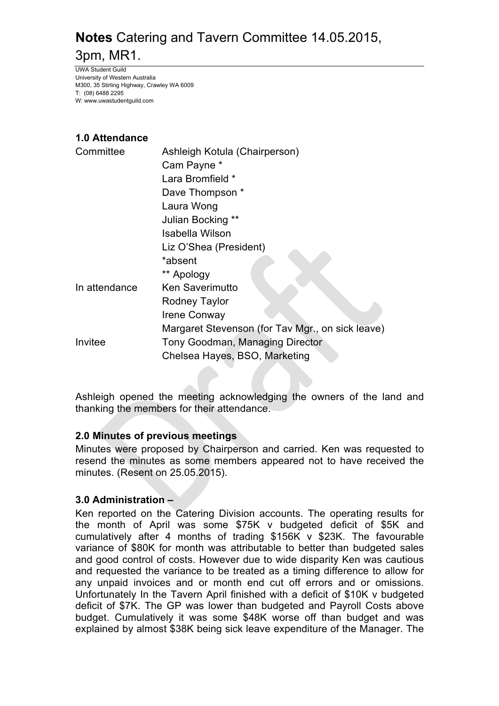UWA Student Guild University of Western Australia M300, 35 Stirling Highway, Crawley WA 6009 T: (08) 6488 2295 W: www.uwastudentguild.com

## **1.0 Attendance**

| Committee     | Ashleigh Kotula (Chairperson)                    |  |
|---------------|--------------------------------------------------|--|
|               | Cam Payne *                                      |  |
|               | Lara Bromfield *                                 |  |
|               | Dave Thompson *                                  |  |
|               | Laura Wong                                       |  |
|               | Julian Bocking **                                |  |
|               | Isabella Wilson                                  |  |
|               | Liz O'Shea (President)                           |  |
|               | *absent                                          |  |
|               | ** Apology                                       |  |
| In attendance | <b>Ken Saverimutto</b>                           |  |
|               | Rodney Taylor                                    |  |
|               | <b>Irene Conway</b>                              |  |
|               | Margaret Stevenson (for Tav Mgr., on sick leave) |  |
| Invitee       | Tony Goodman, Managing Director                  |  |
|               | Chelsea Hayes, BSO, Marketing                    |  |

Ashleigh opened the meeting acknowledging the owners of the land and thanking the members for their attendance.

### **2.0 Minutes of previous meetings**

Minutes were proposed by Chairperson and carried. Ken was requested to resend the minutes as some members appeared not to have received the minutes. (Resent on 25.05.2015).

## **3.0 Administration –**

Ken reported on the Catering Division accounts. The operating results for the month of April was some \$75K v budgeted deficit of \$5K and cumulatively after 4 months of trading \$156K v \$23K. The favourable variance of \$80K for month was attributable to better than budgeted sales and good control of costs. However due to wide disparity Ken was cautious and requested the variance to be treated as a timing difference to allow for any unpaid invoices and or month end cut off errors and or omissions. Unfortunately In the Tavern April finished with a deficit of \$10K v budgeted deficit of \$7K. The GP was lower than budgeted and Payroll Costs above budget. Cumulatively it was some \$48K worse off than budget and was explained by almost \$38K being sick leave expenditure of the Manager. The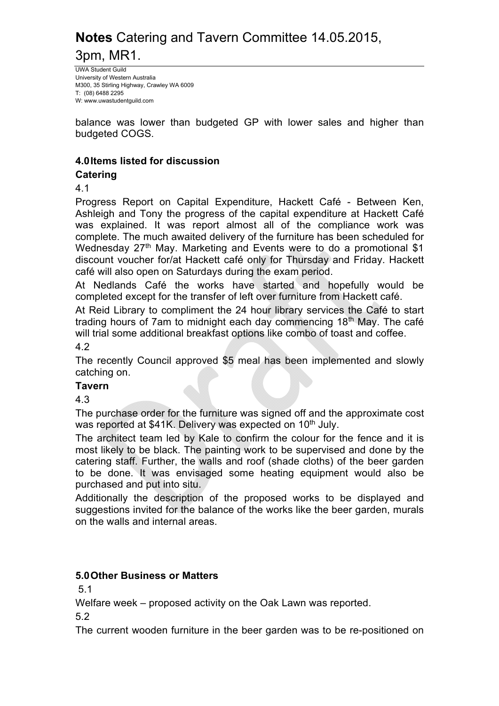UWA Student Guild University of Western Australia M300, 35 Stirling Highway, Crawley WA 6009 T: (08) 6488 2295 W: www.uwastudentguild.com

balance was lower than budgeted GP with lower sales and higher than budgeted COGS.

### **4.0 Items listed for discussion**

### **Catering**

4.1

Progress Report on Capital Expenditure, Hackett Café - Between Ken, Ashleigh and Tony the progress of the capital expenditure at Hackett Café was explained. It was report almost all of the compliance work was complete. The much awaited delivery of the furniture has been scheduled for Wednesday 27<sup>th</sup> May. Marketing and Events were to do a promotional \$1 discount voucher for/at Hackett café only for Thursday and Friday. Hackett café will also open on Saturdays during the exam period.

At Nedlands Café the works have started and hopefully would be completed except for the transfer of left over furniture from Hackett café.

At Reid Library to compliment the 24 hour library services the Café to start trading hours of 7am to midnight each day commencing 18<sup>th</sup> May. The café will trial some additional breakfast options like combo of toast and coffee.

4.2

The recently Council approved \$5 meal has been implemented and slowly catching on.

**Tavern**

4.3

The purchase order for the furniture was signed off and the approximate cost was reported at \$41K. Delivery was expected on 10<sup>th</sup> July.

The architect team led by Kale to confirm the colour for the fence and it is most likely to be black. The painting work to be supervised and done by the catering staff. Further, the walls and roof (shade cloths) of the beer garden to be done. It was envisaged some heating equipment would also be purchased and put into situ.

Additionally the description of the proposed works to be displayed and suggestions invited for the balance of the works like the beer garden, murals on the walls and internal areas.

## **5.0 Other Business or Matters**

5.1

Welfare week – proposed activity on the Oak Lawn was reported.

5.2

The current wooden furniture in the beer garden was to be re-positioned on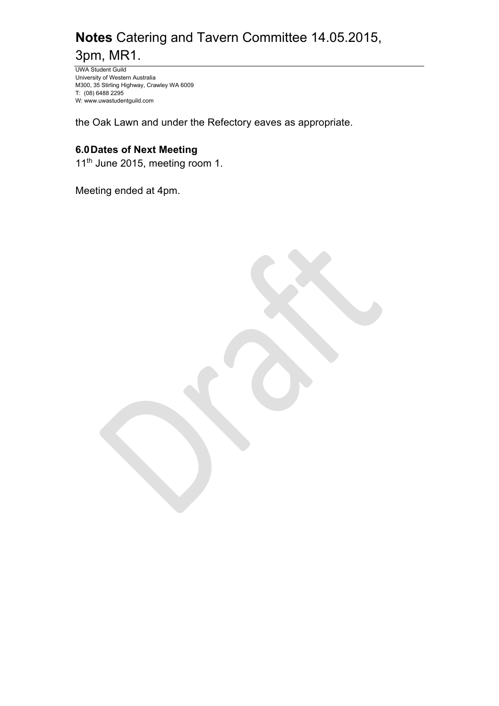UWA Student Guild University of Western Australia M300, 35 Stirling Highway, Crawley WA 6009 T: (08) 6488 2295 W: www.uwastudentguild.com

the Oak Lawn and under the Refectory eaves as appropriate.

## **6.0 Dates of Next Meeting**

11<sup>th</sup> June 2015, meeting room 1.

Meeting ended at 4pm.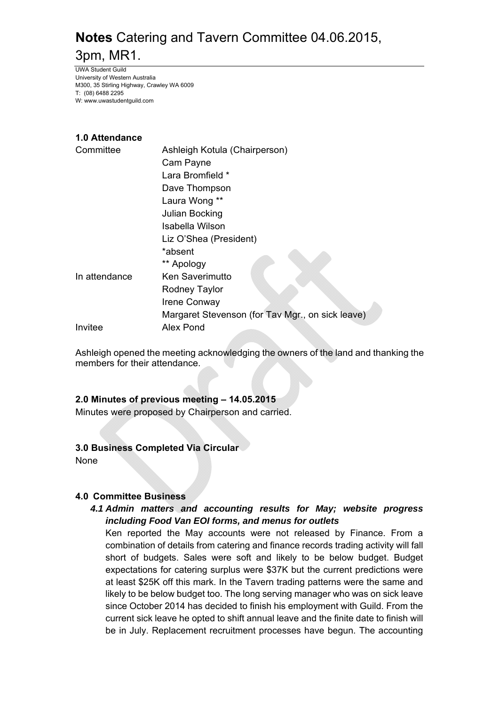UWA Student Guild University of Western Australia M300, 35 Stirling Highway, Crawley WA 6009 T: (08) 6488 2295 W: www.uwastudentguild.com

#### **1.0 Attendance**

| Committee     | Ashleigh Kotula (Chairperson)                    |  |
|---------------|--------------------------------------------------|--|
|               | Cam Payne                                        |  |
|               | Lara Bromfield *                                 |  |
|               | Dave Thompson                                    |  |
|               | Laura Wong **                                    |  |
|               | Julian Bocking                                   |  |
|               | Isabella Wilson                                  |  |
|               | Liz O'Shea (President)                           |  |
|               | *absent                                          |  |
|               | ** Apology                                       |  |
| In attendance | <b>Ken Saverimutto</b>                           |  |
|               | Rodney Taylor                                    |  |
|               | Irene Conway                                     |  |
|               | Margaret Stevenson (for Tav Mgr., on sick leave) |  |
| Invitee       | Alex Pond                                        |  |

Ashleigh opened the meeting acknowledging the owners of the land and thanking the members for their attendance.

#### **2.0 Minutes of previous meeting – 14.05.2015**

Minutes were proposed by Chairperson and carried.

#### **3.0 Business Completed Via Circular**

None

#### **4.0 Committee Business**

### *4.1 Admin matters and accounting results for May; website progress including Food Van EOI forms, and menus for outlets*

Ken reported the May accounts were not released by Finance. From a combination of details from catering and finance records trading activity will fall short of budgets. Sales were soft and likely to be below budget. Budget expectations for catering surplus were \$37K but the current predictions were at least \$25K off this mark. In the Tavern trading patterns were the same and likely to be below budget too. The long serving manager who was on sick leave since October 2014 has decided to finish his employment with Guild. From the current sick leave he opted to shift annual leave and the finite date to finish will be in July. Replacement recruitment processes have begun. The accounting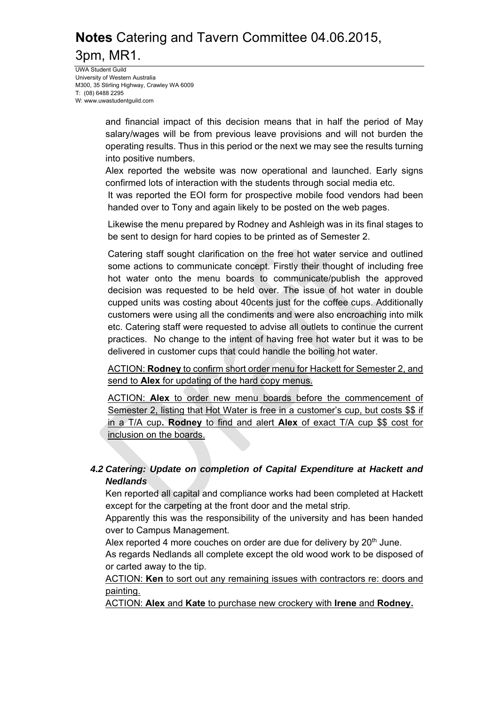UWA Student Guild University of Western Australia M300, 35 Stirling Highway, Crawley WA 6009 T: (08) 6488 2295 W: www.uwastudentguild.com

> and financial impact of this decision means that in half the period of May salary/wages will be from previous leave provisions and will not burden the operating results. Thus in this period or the next we may see the results turning into positive numbers.

> Alex reported the website was now operational and launched. Early signs confirmed lots of interaction with the students through social media etc.

> It was reported the EOI form for prospective mobile food vendors had been handed over to Tony and again likely to be posted on the web pages.

> Likewise the menu prepared by Rodney and Ashleigh was in its final stages to be sent to design for hard copies to be printed as of Semester 2.

> Catering staff sought clarification on the free hot water service and outlined some actions to communicate concept. Firstly their thought of including free hot water onto the menu boards to communicate/publish the approved decision was requested to be held over. The issue of hot water in double cupped units was costing about 40cents just for the coffee cups. Additionally customers were using all the condiments and were also encroaching into milk etc. Catering staff were requested to advise all outlets to continue the current practices. No change to the intent of having free hot water but it was to be delivered in customer cups that could handle the boiling hot water.

> ACTION: **Rodney** to confirm short order menu for Hackett for Semester 2, and send to **Alex** for updating of the hard copy menus.

> ACTION: **Alex** to order new menu boards before the commencement of Semester 2, listing that Hot Water is free in a customer's cup, but costs \$\$ if in a T/A cup**. Rodney** to find and alert **Alex** of exact T/A cup \$\$ cost for inclusion on the boards.

### *4.2 Catering: Update on completion of Capital Expenditure at Hackett and Nedlands*

Ken reported all capital and compliance works had been completed at Hackett except for the carpeting at the front door and the metal strip.

Apparently this was the responsibility of the university and has been handed over to Campus Management.

Alex reported 4 more couches on order are due for delivery by  $20<sup>th</sup>$  June. As regards Nedlands all complete except the old wood work to be disposed of or carted away to the tip.

ACTION: **Ken** to sort out any remaining issues with contractors re: doors and painting.

ACTION: **Alex** and **Kate** to purchase new crockery with **Irene** and **Rodney.**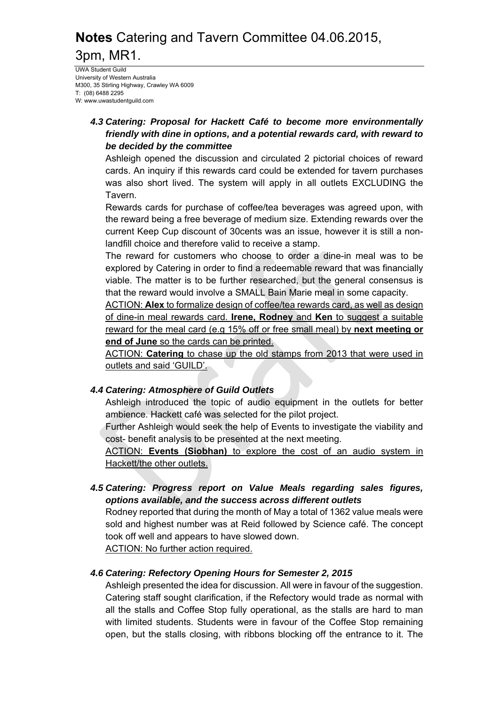UWA Student Guild University of Western Australia M300, 35 Stirling Highway, Crawley WA 6009 T: (08) 6488 2295 W: www.uwastudentguild.com

### *4.3 Catering: Proposal for Hackett Café to become more environmentally friendly with dine in options, and a potential rewards card, with reward to be decided by the committee*

Ashleigh opened the discussion and circulated 2 pictorial choices of reward cards. An inquiry if this rewards card could be extended for tavern purchases was also short lived. The system will apply in all outlets EXCLUDING the Tavern.

Rewards cards for purchase of coffee/tea beverages was agreed upon, with the reward being a free beverage of medium size. Extending rewards over the current Keep Cup discount of 30cents was an issue, however it is still a nonlandfill choice and therefore valid to receive a stamp.

The reward for customers who choose to order a dine-in meal was to be explored by Catering in order to find a redeemable reward that was financially viable. The matter is to be further researched, but the general consensus is that the reward would involve a SMALL Bain Marie meal in some capacity.

ACTION: **Alex** to formalize design of coffee/tea rewards card, as well as design of dine-in meal rewards card. **Irene, Rodney** and **Ken** to suggest a suitable reward for the meal card (e.g 15% off or free small meal) by **next meeting or end of June** so the cards can be printed.

ACTION: **Catering** to chase up the old stamps from 2013 that were used in outlets and said 'GUILD'.

## *4.4 Catering: Atmosphere of Guild Outlets*

Ashleigh introduced the topic of audio equipment in the outlets for better ambience. Hackett café was selected for the pilot project.

Further Ashleigh would seek the help of Events to investigate the viability and cost- benefit analysis to be presented at the next meeting.

ACTION: **Events (Siobhan)** to explore the cost of an audio system in Hackett/the other outlets.

*4.5 Catering: Progress report on Value Meals regarding sales figures, options available, and the success across different outlets* 

Rodney reported that during the month of May a total of 1362 value meals were sold and highest number was at Reid followed by Science café. The concept took off well and appears to have slowed down.

ACTION: No further action required.

## *4.6 Catering: Refectory Opening Hours for Semester 2, 2015*

Ashleigh presented the idea for discussion. All were in favour of the suggestion. Catering staff sought clarification, if the Refectory would trade as normal with all the stalls and Coffee Stop fully operational, as the stalls are hard to man with limited students. Students were in favour of the Coffee Stop remaining open, but the stalls closing, with ribbons blocking off the entrance to it. The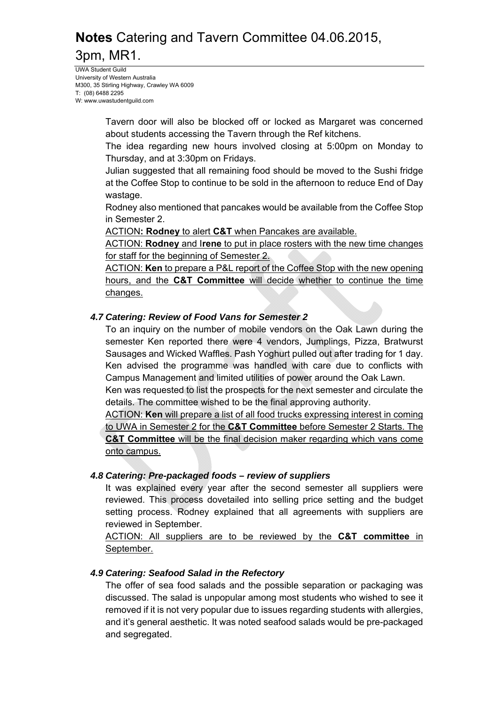UWA Student Guild University of Western Australia M300, 35 Stirling Highway, Crawley WA 6009 T: (08) 6488 2295 W: www.uwastudentguild.com

> Tavern door will also be blocked off or locked as Margaret was concerned about students accessing the Tavern through the Ref kitchens.

> The idea regarding new hours involved closing at 5:00pm on Monday to Thursday, and at 3:30pm on Fridays.

> Julian suggested that all remaining food should be moved to the Sushi fridge at the Coffee Stop to continue to be sold in the afternoon to reduce End of Day wastage.

> Rodney also mentioned that pancakes would be available from the Coffee Stop in Semester 2.

ACTION**: Rodney** to alert **C&T** when Pancakes are available.

ACTION: **Rodney** and I**rene** to put in place rosters with the new time changes for staff for the beginning of Semester 2.

ACTION: **Ken** to prepare a P&L report of the Coffee Stop with the new opening hours, and the **C&T Committee** will decide whether to continue the time changes.

### *4.7 Catering: Review of Food Vans for Semester 2*

To an inquiry on the number of mobile vendors on the Oak Lawn during the semester Ken reported there were 4 vendors, Jumplings, Pizza, Bratwurst Sausages and Wicked Waffles. Pash Yoghurt pulled out after trading for 1 day. Ken advised the programme was handled with care due to conflicts with Campus Management and limited utilities of power around the Oak Lawn.

Ken was requested to list the prospects for the next semester and circulate the details. The committee wished to be the final approving authority.

ACTION: **Ken** will prepare a list of all food trucks expressing interest in coming to UWA in Semester 2 for the **C&T Committee** before Semester 2 Starts. The **C&T Committee** will be the final decision maker regarding which vans come onto campus.

### *4.8 Catering: Pre-packaged foods – review of suppliers*

It was explained every year after the second semester all suppliers were reviewed. This process dovetailed into selling price setting and the budget setting process. Rodney explained that all agreements with suppliers are reviewed in September.

ACTION: All suppliers are to be reviewed by the **C&T committee** in September.

### *4.9 Catering: Seafood Salad in the Refectory*

The offer of sea food salads and the possible separation or packaging was discussed. The salad is unpopular among most students who wished to see it removed if it is not very popular due to issues regarding students with allergies, and it's general aesthetic. It was noted seafood salads would be pre-packaged and segregated.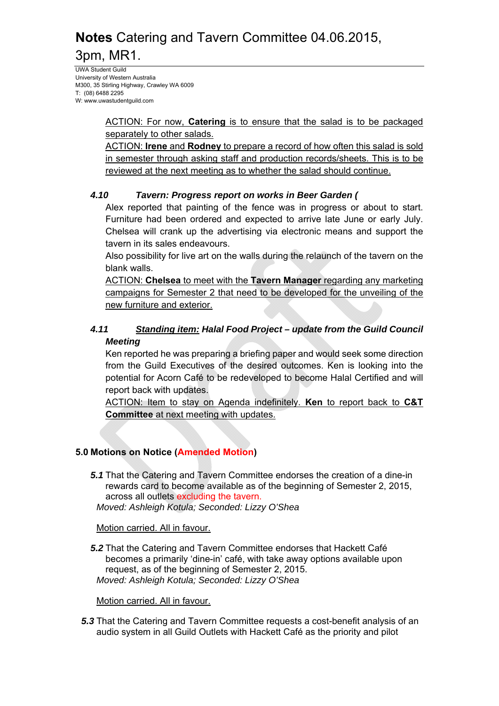UWA Student Guild University of Western Australia M300, 35 Stirling Highway, Crawley WA 6009 T: (08) 6488 2295 W: www.uwastudentguild.com

> ACTION: For now, **Catering** is to ensure that the salad is to be packaged separately to other salads.

> ACTION: **Irene** and **Rodney** to prepare a record of how often this salad is sold in semester through asking staff and production records/sheets. This is to be reviewed at the next meeting as to whether the salad should continue.

### *4.10 Tavern: Progress report on works in Beer Garden (*

Alex reported that painting of the fence was in progress or about to start. Furniture had been ordered and expected to arrive late June or early July. Chelsea will crank up the advertising via electronic means and support the tavern in its sales endeavours.

Also possibility for live art on the walls during the relaunch of the tavern on the blank walls.

ACTION: **Chelsea** to meet with the **Tavern Manager** regarding any marketing campaigns for Semester 2 that need to be developed for the unveiling of the new furniture and exterior.

### *4.11 Standing item: Halal Food Project – update from the Guild Council Meeting*

Ken reported he was preparing a briefing paper and would seek some direction from the Guild Executives of the desired outcomes. Ken is looking into the potential for Acorn Café to be redeveloped to become Halal Certified and will report back with updates.

ACTION: Item to stay on Agenda indefinitely. **Ken** to report back to **C&T Committee** at next meeting with updates.

### **5.0 Motions on Notice (Amended Motion)**

*5.1* That the Catering and Tavern Committee endorses the creation of a dine-in rewards card to become available as of the beginning of Semester 2, 2015, across all outlets excluding the tavern. *Moved: Ashleigh Kotula; Seconded: Lizzy O'Shea* 

Motion carried. All in favour.

*5.2* That the Catering and Tavern Committee endorses that Hackett Café becomes a primarily 'dine-in' café, with take away options available upon request, as of the beginning of Semester 2, 2015. *Moved: Ashleigh Kotula; Seconded: Lizzy O'Shea* 

Motion carried. All in favour.

*5.3* That the Catering and Tavern Committee requests a cost-benefit analysis of an audio system in all Guild Outlets with Hackett Café as the priority and pilot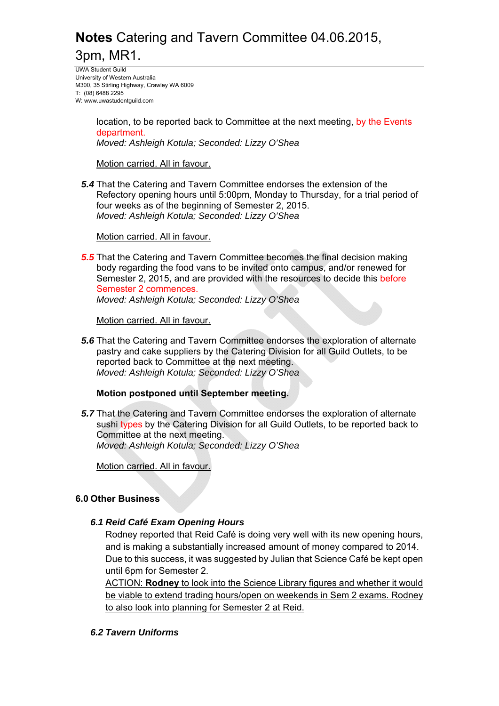UWA Student Guild University of Western Australia M300, 35 Stirling Highway, Crawley WA 6009 T: (08) 6488 2295 W: www.uwastudentguild.com

> location, to be reported back to Committee at the next meeting, by the Events department.

*Moved: Ashleigh Kotula; Seconded: Lizzy O'Shea* 

Motion carried. All in favour.

*5.4* That the Catering and Tavern Committee endorses the extension of the Refectory opening hours until 5:00pm, Monday to Thursday, for a trial period of four weeks as of the beginning of Semester 2, 2015. *Moved: Ashleigh Kotula; Seconded: Lizzy O'Shea* 

Motion carried. All in favour.

*5.5* That the Catering and Tavern Committee becomes the final decision making body regarding the food vans to be invited onto campus, and/or renewed for Semester 2, 2015, and are provided with the resources to decide this before Semester 2 commences.

*Moved: Ashleigh Kotula; Seconded: Lizzy O'Shea* 

Motion carried. All in favour.

*5.6* That the Catering and Tavern Committee endorses the exploration of alternate pastry and cake suppliers by the Catering Division for all Guild Outlets, to be reported back to Committee at the next meeting. *Moved: Ashleigh Kotula; Seconded: Lizzy O'Shea* 

### **Motion postponed until September meeting.**

*5.7* That the Catering and Tavern Committee endorses the exploration of alternate sushi types by the Catering Division for all Guild Outlets, to be reported back to Committee at the next meeting. *Moved: Ashleigh Kotula; Seconded: Lizzy O'Shea* 

Motion carried. All in favour.

#### **6.0 Other Business**

#### *6.1 Reid Café Exam Opening Hours*

Rodney reported that Reid Café is doing very well with its new opening hours, and is making a substantially increased amount of money compared to 2014. Due to this success, it was suggested by Julian that Science Café be kept open until 6pm for Semester 2.

ACTION: **Rodney** to look into the Science Library figures and whether it would be viable to extend trading hours/open on weekends in Sem 2 exams. Rodney to also look into planning for Semester 2 at Reid.

*6.2 Tavern Uniforms*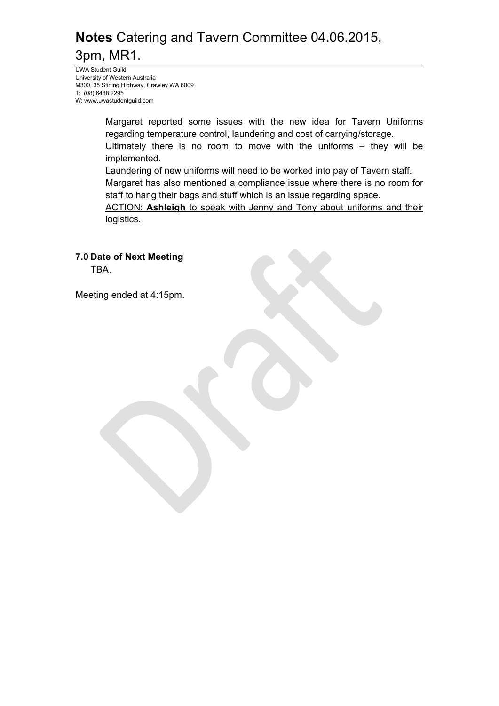UWA Student Guild University of Western Australia M300, 35 Stirling Highway, Crawley WA 6009 T: (08) 6488 2295 W: www.uwastudentguild.com

> Margaret reported some issues with the new idea for Tavern Uniforms regarding temperature control, laundering and cost of carrying/storage.

> Ultimately there is no room to move with the uniforms – they will be implemented.

Laundering of new uniforms will need to be worked into pay of Tavern staff.

Margaret has also mentioned a compliance issue where there is no room for staff to hang their bags and stuff which is an issue regarding space.

ACTION: **Ashleigh** to speak with Jenny and Tony about uniforms and their logistics.

**7.0 Date of Next Meeting**  TBA.

Meeting ended at 4:15pm.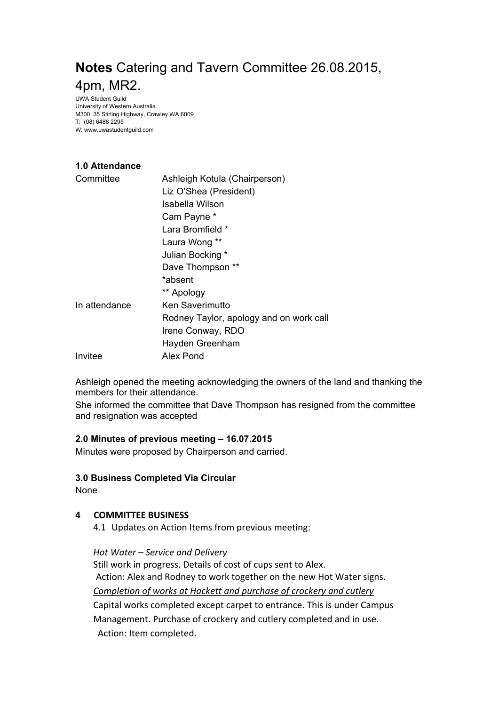UWA Student Guild University of Western Australia M300, 35 Stirling Highway, Crawley WA 6009 T: (08) 6488 2295 W: www.uwastudentguild.com

## **1.0 Attendance**

| Committee     | Ashleigh Kotula (Chairperson)           |
|---------------|-----------------------------------------|
|               | Liz O'Shea (President)                  |
|               | Isabella Wilson                         |
|               | Cam Payne *                             |
|               | Lara Bromfield *                        |
|               | Laura Wong **                           |
|               | Julian Bocking *                        |
|               | Dave Thompson **                        |
|               | *absent                                 |
|               | ** Apology                              |
| In attendance | Ken Saverimutto                         |
|               | Rodney Taylor, apology and on work call |
|               | Irene Conway, RDO                       |
|               | Hayden Greenham                         |
| Invitee       | Alex Pond                               |

Ashleigh opened the meeting acknowledging the owners of the land and thanking the members for their attendance.

She informed the committee that Dave Thompson has resigned from the committee and resignation was accepted

#### **2.0 Minutes of previous meeting – 16.07.2015**

Minutes were proposed by Chairperson and carried.

#### **3.0 Business Completed Via Circular**

None

#### **4 COMMITTEE BUSINESS**

4.1 Updates on Action Items from previous meeting:

#### *Hot Water – Service and Delivery*

Still work in progress. Details of cost of cups sent to Alex. Action: Alex and Rodney to work together on the new Hot Water signs.

*Completion of works at Hackett and purchase of crockery and cutlery*

Capital works completed except carpet to entrance. This is under Campus Management. Purchase of crockery and cutlery completed and in use. Action: Item completed.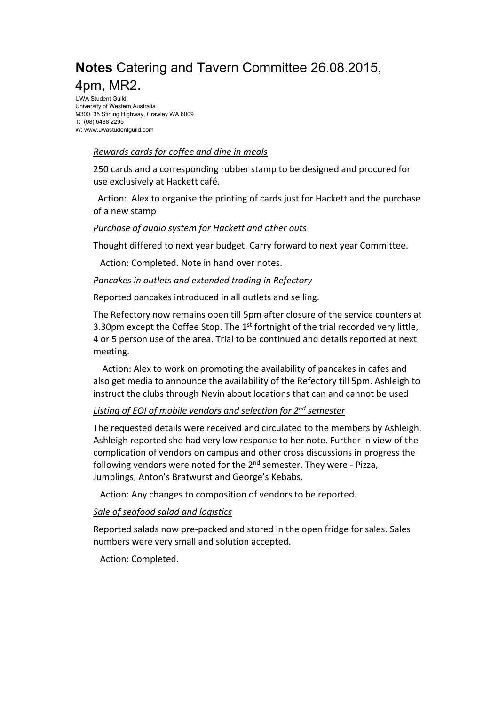UWA Student Guild University of Western Australia M300, 35 Stirling Highway, Crawley WA 6009 T: (08) 6488 2295 W: www.uwastudentguild.com

#### *Rewards cards for coffee and dine in meals*

250 cards and a corresponding rubber stamp to be designed and procured for use exclusively at Hackett café.

 Action: Alex to organise the printing of cards just for Hackett and the purchase of a new stamp

### *Purchase of audio system for Hackett and other outs*

Thought differed to next year budget. Carry forward to next year Committee.

Action: Completed. Note in hand over notes.

#### *Pancakes in outlets and extended trading in Refectory*

Reported pancakes introduced in all outlets and selling.

The Refectory now remains open till 5pm after closure of the service counters at 3.30pm except the Coffee Stop. The  $1<sup>st</sup>$  fortnight of the trial recorded very little, 4 or 5 person use of the area. Trial to be continued and details reported at next meeting.

 Action: Alex to work on promoting the availability of pancakes in cafes and also get media to announce the availability of the Refectory till 5pm. Ashleigh to instruct the clubs through Nevin about locations that can and cannot be used

### *Listing of EOI of mobile vendors and selection for 2nd semester*

The requested details were received and circulated to the members by Ashleigh. Ashleigh reported she had very low response to her note. Further in view of the complication of vendors on campus and other cross discussions in progress the following vendors were noted for the  $2<sup>nd</sup>$  semester. They were - Pizza, Jumplings, Anton's Bratwurst and George's Kebabs.

Action: Any changes to composition of vendors to be reported.

### *Sale of seafood salad and logistics*

Reported salads now pre‐packed and stored in the open fridge for sales. Sales numbers were very small and solution accepted.

Action: Completed.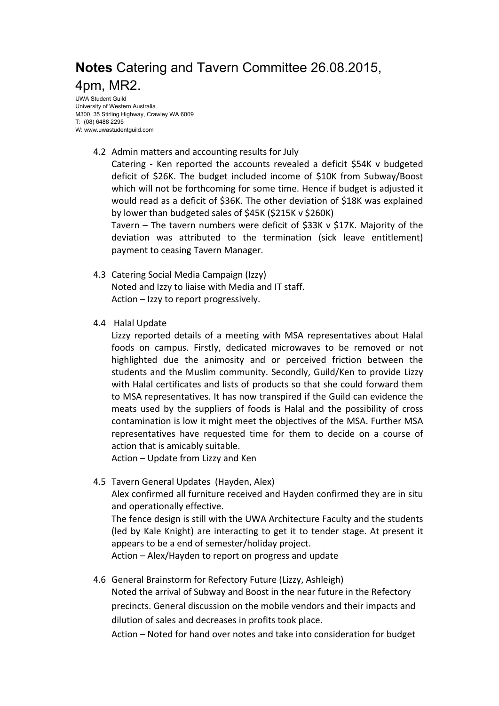UWA Student Guild University of Western Australia M300, 35 Stirling Highway, Crawley WA 6009 T: (08) 6488 2295 W: www.uwastudentguild.com

4.2 Admin matters and accounting results for July

Catering - Ken reported the accounts revealed a deficit \$54K v budgeted deficit of \$26K. The budget included income of \$10K from Subway/Boost which will not be forthcoming for some time. Hence if budget is adjusted it would read as a deficit of \$36K. The other deviation of \$18K was explained by lower than budgeted sales of \$45K (\$215K v \$260K)

Tavern – The tavern numbers were deficit of \$33K v \$17K. Majority of the deviation was attributed to the termination (sick leave entitlement) payment to ceasing Tavern Manager.

- 4.3 Catering Social Media Campaign (Izzy) Noted and Izzy to liaise with Media and IT staff. Action – Izzy to report progressively.
- 4.4 Halal Update

Lizzy reported details of a meeting with MSA representatives about Halal foods on campus. Firstly, dedicated microwaves to be removed or not highlighted due the animosity and or perceived friction between the students and the Muslim community. Secondly, Guild/Ken to provide Lizzy with Halal certificates and lists of products so that she could forward them to MSA representatives. It has now transpired if the Guild can evidence the meats used by the suppliers of foods is Halal and the possibility of cross contamination is low it might meet the objectives of the MSA. Further MSA representatives have requested time for them to decide on a course of action that is amicably suitable.

Action – Update from Lizzy and Ken

4.5 Tavern General Updates (Hayden, Alex)

Alex confirmed all furniture received and Hayden confirmed they are in situ and operationally effective.

The fence design is still with the UWA Architecture Faculty and the students (led by Kale Knight) are interacting to get it to tender stage. At present it appears to be a end of semester/holiday project.

Action – Alex/Hayden to report on progress and update

4.6 General Brainstorm for Refectory Future (Lizzy, Ashleigh)

Noted the arrival of Subway and Boost in the near future in the Refectory precincts. General discussion on the mobile vendors and their impacts and dilution of sales and decreases in profits took place.

Action – Noted for hand over notes and take into consideration for budget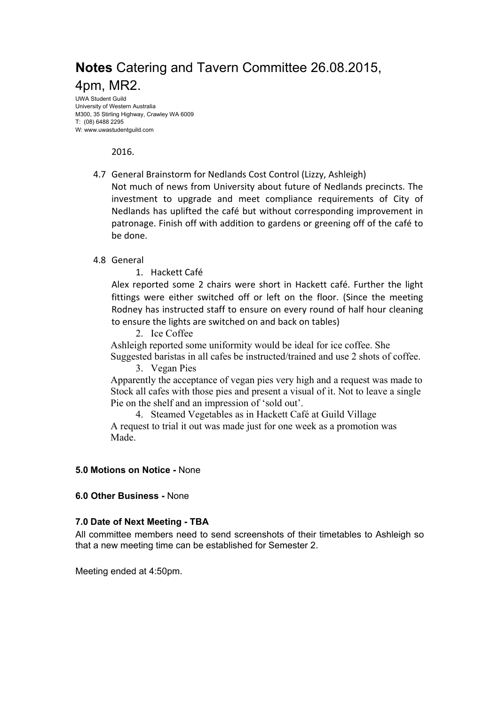UWA Student Guild University of Western Australia M300, 35 Stirling Highway, Crawley WA 6009 T: (08) 6488 2295 W: www.uwastudentguild.com

2016.

4.7 General Brainstorm for Nedlands Cost Control (Lizzy, Ashleigh)

Not much of news from University about future of Nedlands precincts. The investment to upgrade and meet compliance requirements of City of Nedlands has uplifted the café but without corresponding improvement in patronage. Finish off with addition to gardens or greening off of the café to be done.

#### 4.8 General

1. Hackett Café

Alex reported some 2 chairs were short in Hackett café. Further the light fittings were either switched off or left on the floor. (Since the meeting Rodney has instructed staff to ensure on every round of half hour cleaning to ensure the lights are switched on and back on tables)

2. Ice Coffee

Ashleigh reported some uniformity would be ideal for ice coffee. She

 Suggested baristas in all cafes be instructed/trained and use 2 shots of coffee. 3. Vegan Pies

 Apparently the acceptance of vegan pies very high and a request was made to Stock all cafes with those pies and present a visual of it. Not to leave a single Pie on the shelf and an impression of 'sold out'.

4. Steamed Vegetables as in Hackett Café at Guild Village A request to trial it out was made just for one week as a promotion was Made.

#### **5.0 Motions on Notice -** None

#### **6.0 Other Business -** None

#### **7.0 Date of Next Meeting - TBA**

All committee members need to send screenshots of their timetables to Ashleigh so that a new meeting time can be established for Semester 2.

Meeting ended at 4:50pm.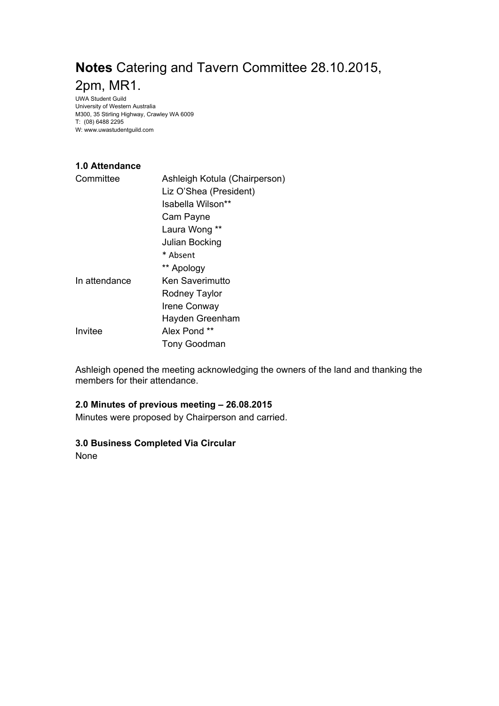UWA Student Guild University of Western Australia M300, 35 Stirling Highway, Crawley WA 6009 T: (08) 6488 2295 W: www.uwastudentguild.com

## **1.0 Attendance**

| Committee     | Ashleigh Kotula (Chairperson) |
|---------------|-------------------------------|
|               | Liz O'Shea (President)        |
|               | Isabella Wilson**             |
|               | Cam Payne                     |
|               | Laura Wong **                 |
|               | Julian Bocking                |
|               | * Absent                      |
|               | ** Apology                    |
| In attendance | Ken Saverimutto               |
|               | Rodney Taylor                 |
|               | <b>Irene Conway</b>           |
|               | Hayden Greenham               |
| Invitee       | Alex Pond **                  |
|               | Tony Goodman                  |

Ashleigh opened the meeting acknowledging the owners of the land and thanking the members for their attendance.

#### **2.0 Minutes of previous meeting – 26.08.2015**

Minutes were proposed by Chairperson and carried.

#### **3.0 Business Completed Via Circular**

None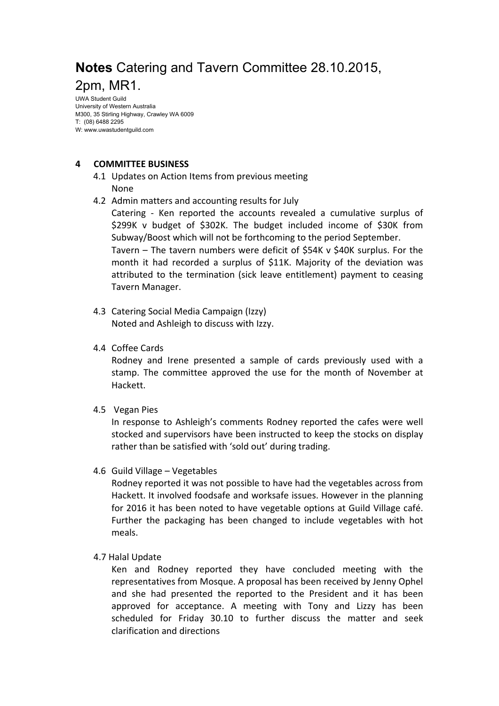UWA Student Guild University of Western Australia M300, 35 Stirling Highway, Crawley WA 6009 T: (08) 6488 2295 W: www.uwastudentguild.com

#### **4 COMMITTEE BUSINESS**

- 4.1 Updates on Action Items from previous meeting None
- 4.2 Admin matters and accounting results for July Catering - Ken reported the accounts revealed a cumulative surplus of \$299K v budget of \$302K. The budget included income of \$30K from Subway/Boost which will not be forthcoming to the period September. Tavern – The tavern numbers were deficit of \$54K v \$40K surplus. For the month it had recorded a surplus of \$11K. Majority of the deviation was attributed to the termination (sick leave entitlement) payment to ceasing Tavern Manager.
- 4.3 Catering Social Media Campaign (Izzy) Noted and Ashleigh to discuss with Izzy.
- 4.4 Coffee Cards

Rodney and Irene presented a sample of cards previously used with a stamp. The committee approved the use for the month of November at Hackett.

4.5 Vegan Pies

In response to Ashleigh's comments Rodney reported the cafes were well stocked and supervisors have been instructed to keep the stocks on display rather than be satisfied with 'sold out' during trading.

4.6 Guild Village – Vegetables

Rodney reported it was not possible to have had the vegetables across from Hackett. It involved foodsafe and worksafe issues. However in the planning for 2016 it has been noted to have vegetable options at Guild Village café. Further the packaging has been changed to include vegetables with hot meals.

4.7 Halal Update

Ken and Rodney reported they have concluded meeting with the representatives from Mosque. A proposal has been received by Jenny Ophel and she had presented the reported to the President and it has been approved for acceptance. A meeting with Tony and Lizzy has been scheduled for Friday 30.10 to further discuss the matter and seek clarification and directions